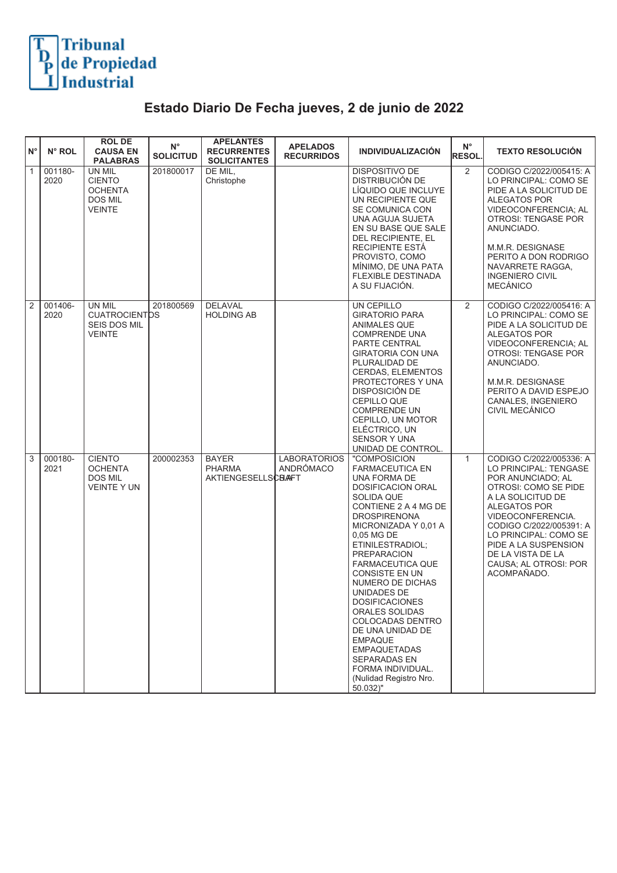

## **Estado Diario De Fecha jueves, 2 de junio de 2022**

| ١N°        | N° ROL          | <b>ROLDE</b><br><b>CAUSA EN</b><br><b>PALABRAS</b>                           | $N^{\circ}$<br><b>SOLICITUD</b> | <b>APELANTES</b><br><b>RECURRENTES</b><br><b>SOLICITANTES</b> | <b>APELADOS</b><br><b>RECURRIDOS</b> | <b>INDIVIDUALIZACIÓN</b>                                                                                                                                                                                                                                                                                                                                                                                                                                                                                                        | $\mathsf{N}^\circ$<br><b>RESOL.</b> | <b>TEXTO RESOLUCIÓN</b>                                                                                                                                                                                                                                                                          |
|------------|-----------------|------------------------------------------------------------------------------|---------------------------------|---------------------------------------------------------------|--------------------------------------|---------------------------------------------------------------------------------------------------------------------------------------------------------------------------------------------------------------------------------------------------------------------------------------------------------------------------------------------------------------------------------------------------------------------------------------------------------------------------------------------------------------------------------|-------------------------------------|--------------------------------------------------------------------------------------------------------------------------------------------------------------------------------------------------------------------------------------------------------------------------------------------------|
| 厅.         | 001180-<br>2020 | UN MIL<br><b>CIENTO</b><br><b>OCHENTA</b><br><b>DOS MIL</b><br><b>VEINTE</b> | 201800017                       | DE MIL.<br>Christophe                                         |                                      | <b>DISPOSITIVO DE</b><br>DISTRIBUCIÓN DE<br>LÍQUIDO QUE INCLUYE<br>UN RECIPIENTE QUE<br>SE COMUNICA CON<br>UNA AGUJA SUJETA<br>EN SU BASE QUE SALE<br>DEL RECIPIENTE, EL<br>RECIPIENTE ESTÁ<br>PROVISTO, COMO<br>MÍNIMO, DE UNA PATA<br>FLEXIBLE DESTINADA<br>A SU FIJACIÓN.                                                                                                                                                                                                                                                    | $\overline{2}$                      | CODIGO C/2022/005415: A<br>LO PRINCIPAL: COMO SE<br>PIDE A LA SOLICITUD DE<br>ALEGATOS POR<br>VIDEOCONFERENCIA; AL<br>OTROSI: TENGASE POR<br>ANUNCIADO.<br>M.M.R. DESIGNASE<br>PERITO A DON RODRIGO<br>NAVARRETE RAGGA,<br><b>INGENIERO CIVIL</b><br><b>MECÁNICO</b>                             |
| $\sqrt{2}$ | 001406-<br>2020 | UN MIL<br><b>CUATROCIENTDS</b><br><b>SEIS DOS MIL</b><br><b>VEINTE</b>       | 201800569                       | <b>DELAVAL</b><br><b>HOLDING AB</b>                           |                                      | UN CEPILLO<br><b>GIRATORIO PARA</b><br>ANIMALES QUE<br>COMPRENDE UNA<br>PARTE CENTRAL<br><b>GIRATORIA CON UNA</b><br>PLURALIDAD DE<br>CERDAS, ELEMENTOS<br>PROTECTORES Y UNA<br>DISPOSICIÓN DE<br>CEPILLO QUE<br>COMPRENDE UN<br>CEPILLO, UN MOTOR<br>ELÉCTRICO, UN<br><b>SENSOR Y UNA</b><br>UNIDAD DE CONTROL.                                                                                                                                                                                                                | 2                                   | CODIGO C/2022/005416: A<br>LO PRINCIPAL: COMO SE<br>PIDE A LA SOLICITUD DE<br><b>ALEGATOS POR</b><br>VIDEOCONFERENCIA; AL<br><b>OTROSI: TENGASE POR</b><br>ANUNCIADO.<br>M.M.R. DESIGNASE<br>PERITO A DAVID ESPEJO<br>CANALES, INGENIERO<br>CIVIL MECÁNICO                                       |
| $\sqrt{3}$ | 000180-<br>2021 | <b>CIENTO</b><br><b>OCHENTA</b><br><b>DOS MIL</b><br><b>VEINTE Y UN</b>      | 200002353                       | <b>BAYER</b><br><b>PHARMA</b><br><b>AKTIENGESELLSCBAFT</b>    | <b>LABORATORIOS</b><br>ANDRÓMACO     | "COMPOSICION<br><b>FARMACEUTICA EN</b><br>UNA FORMA DE<br><b>DOSIFICACION ORAL</b><br>SOLIDA QUE<br>CONTIENE 2 A 4 MG DE<br><b>DROSPIRENONA</b><br>MICRONIZADA Y 0,01 A<br>0,05 MG DE<br>ETINILESTRADIOL;<br><b>PREPARACION</b><br><b>FARMACEUTICA QUE</b><br><b>CONSISTE EN UN</b><br>NUMERO DE DICHAS<br>UNIDADES DE<br><b>DOSIFICACIONES</b><br>ORALES SOLIDAS<br>COLOCADAS DENTRO<br>DE UNA UNIDAD DE<br><b>EMPAQUE</b><br><b>EMPAQUETADAS</b><br>SEPARADAS EN<br>FORMA INDIVIDUAL.<br>(Nulidad Registro Nro.<br>$50.032$ " | $\mathbf{1}$                        | CODIGO C/2022/005336: A<br>LO PRINCIPAL: TENGASE<br>POR ANUNCIADO; AL<br>OTROSI: COMO SE PIDE<br>A LA SOLICITUD DE<br>ALEGATOS POR<br>VIDEOCONFERENCIA.<br>CODIGO C/2022/005391: A<br>LO PRINCIPAL: COMO SE<br>PIDE A LA SUSPENSION<br>DE LA VISTA DE LA<br>CAUSA; AL OTROSI: POR<br>ACOMPAÑADO. |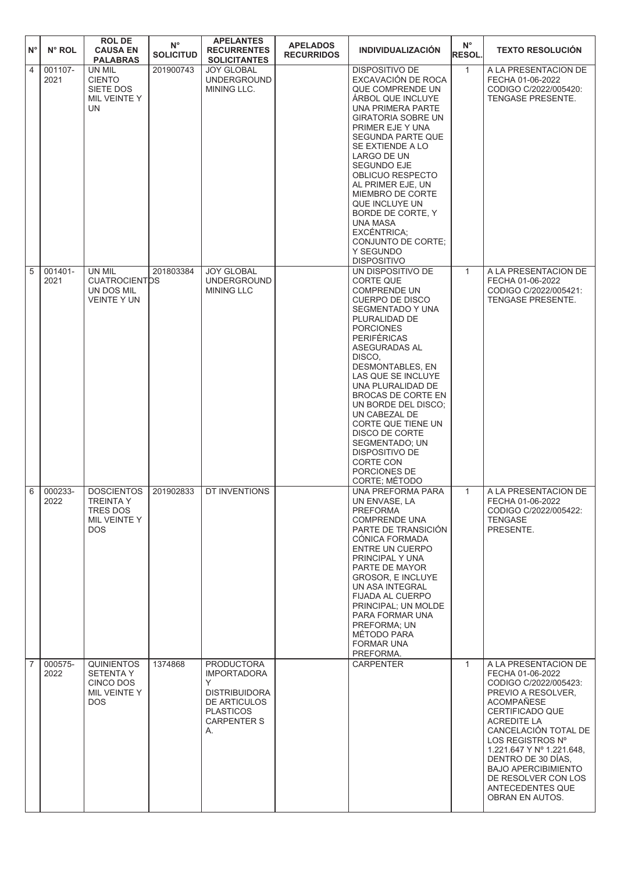| $N^{\circ}$    | N° ROL          | <b>ROLDE</b><br><b>CAUSA EN</b><br><b>PALABRAS</b>                         | $N^{\circ}$<br><b>SOLICITUD</b> | <b>APELANTES</b><br><b>RECURRENTES</b><br><b>SOLICITANTES</b>                                                                        | <b>APELADOS</b><br><b>RECURRIDOS</b> | <b>INDIVIDUALIZACIÓN</b>                                                                                                                                                                                                                                                                                                                                                                                                                                       | $N^{\circ}$<br><b>RESOL.</b> | <b>TEXTO RESOLUCIÓN</b>                                                                                                                                                                                                                                                                                                                          |
|----------------|-----------------|----------------------------------------------------------------------------|---------------------------------|--------------------------------------------------------------------------------------------------------------------------------------|--------------------------------------|----------------------------------------------------------------------------------------------------------------------------------------------------------------------------------------------------------------------------------------------------------------------------------------------------------------------------------------------------------------------------------------------------------------------------------------------------------------|------------------------------|--------------------------------------------------------------------------------------------------------------------------------------------------------------------------------------------------------------------------------------------------------------------------------------------------------------------------------------------------|
| $\overline{4}$ | 001107-<br>2021 | UN MIL<br><b>CIENTO</b><br>SIETE DOS<br>MIL VEINTE Y<br>UN                 | 201900743                       | <b>JOY GLOBAL</b><br><b>UNDERGROUND</b><br>MINING LLC.                                                                               |                                      | <b>DISPOSITIVO DE</b><br>EXCAVACIÓN DE ROCA<br>QUE COMPRENDE UN<br>ARBOL QUE INCLUYE<br>UNA PRIMERA PARTE<br><b>GIRATORIA SOBRE UN</b><br>PRIMER EJE Y UNA<br><b>SEGUNDA PARTE QUE</b><br>SE EXTIENDE A LO<br>LARGO DE UN<br><b>SEGUNDO EJE</b><br>OBLICUO RESPECTO<br>AL PRIMER EJE, UN<br>MIEMBRO DE CORTE<br>QUE INCLUYE UN<br>BORDE DE CORTE, Y<br>UNA MASA<br>EXCÉNTRICA;<br>CONJUNTO DE CORTE;<br>Y SEGUNDO<br><b>DISPOSITIVO</b>                        | $\mathbf{1}$                 | A LA PRESENTACION DE<br>FECHA 01-06-2022<br>CODIGO C/2022/005420:<br>TENGASE PRESENTE.                                                                                                                                                                                                                                                           |
| 5              | 001401-<br>2021 | UN MIL<br><b>CUATROCIENTDS</b><br>UN DOS MIL<br><b>VEINTE Y UN</b>         | 201803384                       | <b>JOY GLOBAL</b><br><b>UNDERGROUND</b><br><b>MINING LLC</b>                                                                         |                                      | UN DISPOSITIVO DE<br><b>CORTE QUE</b><br><b>COMPRENDE UN</b><br><b>CUERPO DE DISCO</b><br>SEGMENTADO Y UNA<br>PLURALIDAD DE<br><b>PORCIONES</b><br><b>PERIFÉRICAS</b><br>ASEGURADAS AL<br>DISCO.<br>DESMONTABLES, EN<br>LAS QUE SE INCLUYE<br>UNA PLURALIDAD DE<br>BROCAS DE CORTE EN<br>UN BORDE DEL DISCO;<br>UN CABEZAL DE<br>CORTE QUE TIENE UN<br>DISCO DE CORTE<br>SEGMENTADO; UN<br>DISPOSITIVO DE<br><b>CORTE CON</b><br>PORCIONES DE<br>CORTE; MÉTODO | $\mathbf{1}$                 | A LA PRESENTACION DE<br>FECHA 01-06-2022<br>CODIGO C/2022/005421:<br><b>TENGASE PRESENTE.</b>                                                                                                                                                                                                                                                    |
| 6              | 000233-<br>2022 | <b>DOSCIENTOS</b><br>TREINTA Y<br>TRES DOS<br>MIL VEINTE Y<br>DOS.         | 201902833                       | DT INVENTIONS                                                                                                                        |                                      | UNA PREFORMA PARA<br>UN ENVASE, LA<br>PREFORMA<br><b>COMPRENDE UNA</b><br>PARTE DE TRANSICIÓN<br>CONICA FORMADA<br>ENTRE UN CUERPO<br>PRINCIPAL Y UNA<br>PARTE DE MAYOR<br><b>GROSOR. E INCLUYE</b><br>UN ASA INTEGRAL<br>FIJADA AL CUERPO<br>PRINCIPAL; UN MOLDE<br>PARA FORMAR UNA<br>PREFORMA: UN<br>MÉTODO PARA<br><b>FORMAR UNA</b><br>PREFORMA.                                                                                                          | $\mathbf{1}$                 | A LA PRESENTACION DE<br>FECHA 01-06-2022<br>CODIGO C/2022/005422:<br><b>TENGASE</b><br>PRESENTE.                                                                                                                                                                                                                                                 |
| $\overline{7}$ | 000575-<br>2022 | <b>QUINIENTOS</b><br><b>SETENTA Y</b><br>CINCO DOS<br>MIL VEINTE Y<br>DOS. | 1374868                         | <b>PRODUCTORA</b><br><b>IMPORTADORA</b><br>Y<br><b>DISTRIBUIDORA</b><br>DE ARTICULOS<br><b>PLASTICOS</b><br><b>CARPENTER S</b><br>А. |                                      | <b>CARPENTER</b>                                                                                                                                                                                                                                                                                                                                                                                                                                               | $\mathbf{1}$                 | A LA PRESENTACION DE<br>FECHA 01-06-2022<br>CODIGO C/2022/005423:<br>PREVIO A RESOLVER.<br><b>ACOMPAÑESE</b><br>CERTIFICADO QUE<br><b>ACREDITE LA</b><br>CANCELACIÓN TOTAL DE<br>LOS REGISTROS Nº<br>1.221.647 Y Nº 1.221.648,<br>DENTRO DE 30 DÍAS.<br><b>BAJO APERCIBIMIENTO</b><br>DE RESOLVER CON LOS<br>ANTECEDENTES QUE<br>OBRAN EN AUTOS. |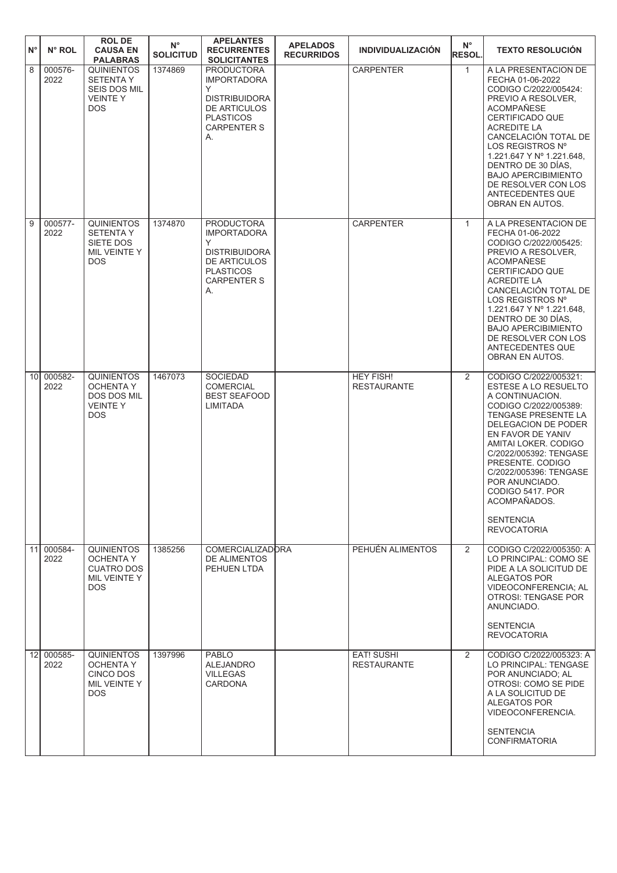| $N^{\circ}$     | N° ROL          | <b>ROL DE</b><br><b>CAUSA EN</b><br><b>PALABRAS</b>                                          | $\mathsf{N}^\circ$<br><b>SOLICITUD</b> | <b>APELANTES</b><br><b>RECURRENTES</b><br><b>SOLICITANTES</b>                                                                               | <b>APELADOS</b><br><b>RECURRIDOS</b> | <b>INDIVIDUALIZACIÓN</b>                | $N^{\circ}$<br><b>RESOL.</b> | <b>TEXTO RESOLUCIÓN</b>                                                                                                                                                                                                                                                                                                                                             |
|-----------------|-----------------|----------------------------------------------------------------------------------------------|----------------------------------------|---------------------------------------------------------------------------------------------------------------------------------------------|--------------------------------------|-----------------------------------------|------------------------------|---------------------------------------------------------------------------------------------------------------------------------------------------------------------------------------------------------------------------------------------------------------------------------------------------------------------------------------------------------------------|
| 8               | 000576-<br>2022 | <b>QUINIENTOS</b><br><b>SETENTA Y</b><br><b>SEIS DOS MIL</b><br><b>VEINTEY</b><br><b>DOS</b> | 1374869                                | <b>PRODUCTORA</b><br><b>IMPORTADORA</b><br>Υ<br><b>DISTRIBUIDORA</b><br><b>DE ARTICULOS</b><br><b>PLASTICOS</b><br><b>CARPENTER S</b><br>А. |                                      | <b>CARPENTER</b>                        | $\mathbf{1}$                 | A LA PRESENTACION DE<br>FECHA 01-06-2022<br>CODIGO C/2022/005424:<br>PREVIO A RESOLVER.<br><b>ACOMPAÑESE</b><br>CERTIFICADO QUE<br><b>ACREDITE LA</b><br>CANCELACIÓN TOTAL DE<br>LOS REGISTROS Nº<br>1.221.647 Y Nº 1.221.648,<br>DENTRO DE 30 DÍAS.<br><b>BAJO APERCIBIMIENTO</b><br>DE RESOLVER CON LOS<br>ANTECEDENTES QUE<br>OBRAN EN AUTOS.                    |
| 9               | 000577-<br>2022 | <b>QUINIENTOS</b><br><b>SETENTA Y</b><br>SIETE DOS<br>MIL VEINTE Y<br><b>DOS</b>             | 1374870                                | <b>PRODUCTORA</b><br><b>IMPORTADORA</b><br>Y<br><b>DISTRIBUIDORA</b><br><b>DE ARTICULOS</b><br><b>PLASTICOS</b><br><b>CARPENTER S</b><br>А. |                                      | <b>CARPENTER</b>                        | $\mathbf{1}$                 | A LA PRESENTACION DE<br>FECHA 01-06-2022<br>CODIGO C/2022/005425:<br>PREVIO A RESOLVER.<br><b>ACOMPAÑESE</b><br>CERTIFICADO QUE<br><b>ACREDITE LA</b><br>CANCELACIÓN TOTAL DE<br>LOS REGISTROS Nº<br>1.221.647 Y Nº 1.221.648,<br>DENTRO DE 30 DÍAS.<br><b>BAJO APERCIBIMIENTO</b><br>DE RESOLVER CON LOS<br>ANTECEDENTES QUE<br>OBRAN EN AUTOS.                    |
| 10 <sup>1</sup> | 000582-<br>2022 | <b>QUINIENTOS</b><br><b>OCHENTA Y</b><br><b>DOS DOS MIL</b><br><b>VEINTEY</b><br><b>DOS</b>  | 1467073                                | <b>SOCIEDAD</b><br><b>COMERCIAL</b><br><b>BEST SEAFOOD</b><br>LIMITADA                                                                      |                                      | <b>HEY FISH!</b><br><b>RESTAURANTE</b>  | $\overline{2}$               | CODIGO C/2022/005321:<br>ESTESE A LO RESUELTO<br>A CONTINUACION.<br>CODIGO C/2022/005389:<br><b>TENGASE PRESENTE LA</b><br>DELEGACION DE PODER<br>EN FAVOR DE YANIV<br>AMITAI LOKER, CODIGO<br>C/2022/005392: TENGASE<br>PRESENTE. CODIGO<br>C/2022/005396: TENGASE<br>POR ANUNCIADO.<br>CODIGO 5417. POR<br>ACOMPAÑADOS.<br><b>SENTENCIA</b><br><b>REVOCATORIA</b> |
| 11              | 000584-<br>2022 | <b>QUINIENTOS</b><br><b>OCHENTA Y</b><br><b>CUATRO DOS</b><br>MIL VEINTE Y<br>DOS.           | 1385256                                | <b>COMERCIALIZADORA</b><br><b>DE ALIMENTOS</b><br>PEHUEN LTDA                                                                               |                                      | PEHUÉN ALIMENTOS                        | 2                            | CODIGO C/2022/005350: A<br>LO PRINCIPAL: COMO SE<br>PIDE A LA SOLICITUD DE<br>ALEGATOS POR<br>VIDEOCONFERENCIA; AL<br>OTROSI: TENGASE POR<br>ANUNCIADO.<br><b>SENTENCIA</b><br><b>REVOCATORIA</b>                                                                                                                                                                   |
| 12              | 000585-<br>2022 | <b>QUINIENTOS</b><br><b>OCHENTA Y</b><br>CINCO DOS<br>MIL VEINTE Y<br>DOS.                   | 1397996                                | <b>PABLO</b><br><b>ALEJANDRO</b><br><b>VILLEGAS</b><br><b>CARDONA</b>                                                                       |                                      | <b>EAT! SUSHI</b><br><b>RESTAURANTE</b> | $\overline{2}$               | CODIGO C/2022/005323: A<br>LO PRINCIPAL: TENGASE<br>POR ANUNCIADO; AL<br>OTROSI: COMO SE PIDE<br>A LA SOLICITUD DE<br>ALEGATOS POR<br>VIDEOCONFERENCIA.<br><b>SENTENCIA</b><br><b>CONFIRMATORIA</b>                                                                                                                                                                 |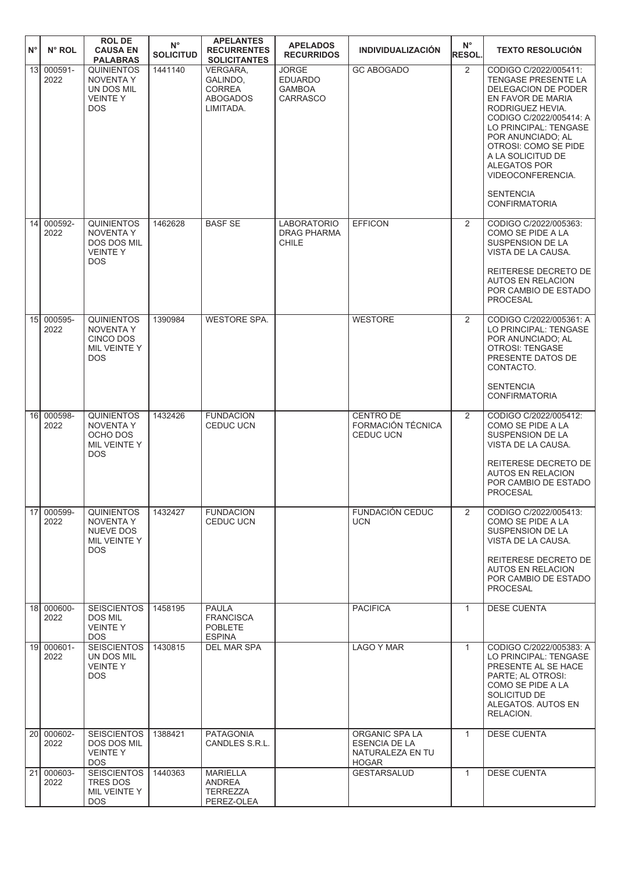| $N^{\circ}$     | N° ROL             | <b>ROL DE</b><br><b>CAUSA EN</b><br><b>PALABRAS</b>                                         | $\mathsf{N}^\circ$<br><b>SOLICITUD</b> | <b>APELANTES</b><br><b>RECURRENTES</b><br><b>SOLICITANTES</b>         | <b>APELADOS</b><br><b>RECURRIDOS</b>                               | <b>INDIVIDUALIZACIÓN</b>                                                   | $N^{\circ}$<br><b>RESOL.</b> | <b>TEXTO RESOLUCIÓN</b>                                                                                                                                                                                                                                                                                                    |
|-----------------|--------------------|---------------------------------------------------------------------------------------------|----------------------------------------|-----------------------------------------------------------------------|--------------------------------------------------------------------|----------------------------------------------------------------------------|------------------------------|----------------------------------------------------------------------------------------------------------------------------------------------------------------------------------------------------------------------------------------------------------------------------------------------------------------------------|
| 13 <sup>1</sup> | 000591-<br>2022    | <b>QUINIENTOS</b><br><b>NOVENTA Y</b><br>UN DOS MIL<br><b>VEINTEY</b><br><b>DOS</b>         | 1441140                                | VERGARA,<br>GALINDO,<br><b>CORREA</b><br><b>ABOGADOS</b><br>LIMITADA. | <b>JORGE</b><br><b>EDUARDO</b><br><b>GAMBOA</b><br><b>CARRASCO</b> | <b>GC ABOGADO</b>                                                          | 2                            | CODIGO C/2022/005411:<br>TENGASE PRESENTE LA<br>DELEGACION DE PODER<br>EN FAVOR DE MARIA<br>RODRIGUEZ HEVIA.<br>CODIGO C/2022/005414: A<br>LO PRINCIPAL: TENGASE<br>POR ANUNCIADO; AL<br>OTROSI: COMO SE PIDE<br>A LA SOLICITUD DE<br><b>ALEGATOS POR</b><br>VIDEOCONFERENCIA.<br><b>SENTENCIA</b><br><b>CONFIRMATORIA</b> |
| 14              | 000592-<br>2022    | <b>QUINIENTOS</b><br><b>NOVENTA Y</b><br><b>DOS DOS MIL</b><br><b>VEINTEY</b><br><b>DOS</b> | 1462628                                | <b>BASF SE</b>                                                        | <b>LABORATORIO</b><br><b>DRAG PHARMA</b><br>CHILE                  | <b>EFFICON</b>                                                             | 2                            | CODIGO C/2022/005363:<br>COMO SE PIDE A LA<br>SUSPENSION DE LA<br>VISTA DE LA CAUSA.<br>REITERESE DECRETO DE<br><b>AUTOS EN RELACION</b><br>POR CAMBIO DE ESTADO                                                                                                                                                           |
|                 |                    |                                                                                             |                                        |                                                                       |                                                                    |                                                                            |                              | <b>PROCESAL</b>                                                                                                                                                                                                                                                                                                            |
|                 | 15 000595-<br>2022 | <b>QUINIENTOS</b><br>NOVENTA Y<br><b>CINCO DOS</b><br>MIL VEINTE Y<br>DOS.                  | 1390984                                | <b>WESTORE SPA.</b>                                                   |                                                                    | <b>WESTORE</b>                                                             | 2                            | CODIGO C/2022/005361: A<br>LO PRINCIPAL: TENGASE<br>POR ANUNCIADO; AL<br><b>OTROSI: TENGASE</b><br>PRESENTE DATOS DE<br>CONTACTO.                                                                                                                                                                                          |
|                 |                    |                                                                                             |                                        |                                                                       |                                                                    |                                                                            |                              | <b>SENTENCIA</b><br><b>CONFIRMATORIA</b>                                                                                                                                                                                                                                                                                   |
| 16 <sup>l</sup> | 000598-<br>2022    | <b>QUINIENTOS</b><br><b>NOVENTA Y</b><br>OCHO DOS<br>MIL VEINTE Y<br><b>DOS</b>             | 1432426                                | <b>FUNDACION</b><br><b>CEDUC UCN</b>                                  |                                                                    | <b>CENTRO DE</b><br>FORMACIÓN TÉCNICA<br><b>CEDUC UCN</b>                  | 2                            | CODIGO C/2022/005412:<br>COMO SE PIDE A LA<br>SUSPENSION DE LA<br>VISTA DE LA CAUSA.                                                                                                                                                                                                                                       |
|                 |                    |                                                                                             |                                        |                                                                       |                                                                    |                                                                            |                              | REITERESE DECRETO DE<br><b>AUTOS EN RELACION</b><br>POR CAMBIO DE ESTADO<br><b>PROCESAL</b>                                                                                                                                                                                                                                |
| 17              | 000599-<br>2022    | <b>QUINIENTOS</b><br>NOVENTA Y<br>NUEVE DOS<br>MIL VEINTE Y<br><b>DOS</b>                   | 1432427                                | <b>FUNDACION</b><br><b>CEDUC UCN</b>                                  |                                                                    | FUNDACIÓN CEDUC<br><b>UCN</b>                                              | 2                            | CODIGO C/2022/005413:<br>COMO SE PIDE A LA<br>SUSPENSION DE LA<br>VISTA DE LA CAUSA.                                                                                                                                                                                                                                       |
|                 |                    |                                                                                             |                                        |                                                                       |                                                                    |                                                                            |                              | REITERESE DECRETO DE<br><b>AUTOS EN RELACION</b><br>POR CAMBIO DE ESTADO<br><b>PROCESAL</b>                                                                                                                                                                                                                                |
|                 | 18 000600-<br>2022 | <b>SEISCIENTOS</b><br><b>DOS MIL</b><br><b>VEINTEY</b><br><b>DOS</b>                        | 1458195                                | <b>PAULA</b><br><b>FRANCISCA</b><br><b>POBLETE</b><br><b>ESPINA</b>   |                                                                    | <b>PACIFICA</b>                                                            | $\mathbf{1}$                 | <b>DESE CUENTA</b>                                                                                                                                                                                                                                                                                                         |
| 19 <sup>l</sup> | 000601-<br>2022    | <b>SEISCIENTOS</b><br>UN DOS MIL<br><b>VEINTEY</b><br><b>DOS</b>                            | 1430815                                | DEL MAR SPA                                                           |                                                                    | LAGO Y MAR                                                                 | $\mathbf{1}$                 | CODIGO C/2022/005383: A<br>LO PRINCIPAL: TENGASE<br>PRESENTE AL SE HACE<br>PARTE; AL OTROSI:<br>COMO SE PIDE A LA<br>SOLICITUD DE<br>ALEGATOS. AUTOS EN<br>RELACION.                                                                                                                                                       |
| 20 <sup>1</sup> | 000602-<br>2022    | <b>SEISCIENTOS</b><br>DOS DOS MIL<br><b>VEINTEY</b><br><b>DOS</b>                           | 1388421                                | <b>PATAGONIA</b><br>CANDLES S.R.L.                                    |                                                                    | ORGANIC SPA LA<br><b>ESENCIA DE LA</b><br>NATURALEZA EN TU<br><b>HOGAR</b> | $\mathbf{1}$                 | <b>DESE CUENTA</b>                                                                                                                                                                                                                                                                                                         |
| 21              | 000603-<br>2022    | <b>SEISCIENTOS</b><br>TRES DOS<br>MIL VEINTE Y<br><b>DOS</b>                                | 1440363                                | <b>MARIELLA</b><br>ANDREA<br><b>TERREZZA</b><br>PEREZ-OLEA            |                                                                    | <b>GESTARSALUD</b>                                                         | $\mathbf{1}$                 | <b>DESE CUENTA</b>                                                                                                                                                                                                                                                                                                         |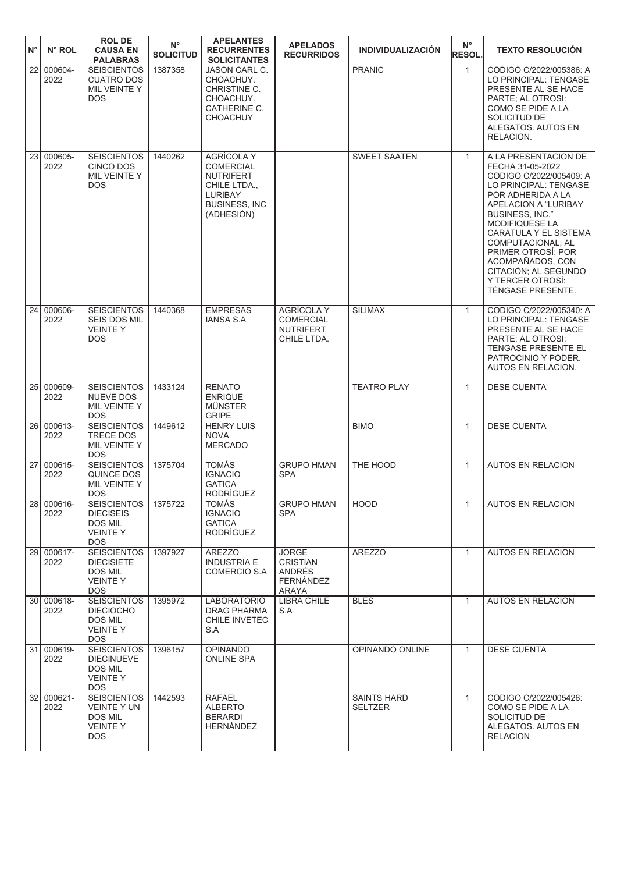| $N^{\circ}$     | N° ROL             | <b>ROLDE</b><br><b>CAUSA EN</b><br><b>PALABRAS</b>                                   | $N^{\circ}$<br><b>SOLICITUD</b> | <b>APELANTES</b><br><b>RECURRENTES</b><br><b>SOLICITANTES</b>                                                                     | <b>APELADOS</b><br><b>RECURRIDOS</b>                                     | <b>INDIVIDUALIZACIÓN</b>             | $N^{\circ}$<br><b>RESOL.</b> | <b>TEXTO RESOLUCIÓN</b>                                                                                                                                                                                                                                                                                                                        |
|-----------------|--------------------|--------------------------------------------------------------------------------------|---------------------------------|-----------------------------------------------------------------------------------------------------------------------------------|--------------------------------------------------------------------------|--------------------------------------|------------------------------|------------------------------------------------------------------------------------------------------------------------------------------------------------------------------------------------------------------------------------------------------------------------------------------------------------------------------------------------|
| 22              | 000604-<br>2022    | <b>SEISCIENTOS</b><br><b>CUATRO DOS</b><br>MIL VEINTE Y<br><b>DOS</b>                | 1387358                         | <b>JASON CARL C.</b><br>CHOACHUY.<br>CHRISTINE C.<br>CHOACHUY.<br>CATHERINE C.<br><b>CHOACHUY</b>                                 |                                                                          | <b>PRANIC</b>                        | $\mathbf{1}$                 | CODIGO C/2022/005386: A<br>LO PRINCIPAL: TENGASE<br>PRESENTE AL SE HACE<br>PARTE; AL OTROSI:<br>COMO SE PIDE A LA<br>SOLICITUD DE<br>ALEGATOS. AUTOS EN<br>RELACION.                                                                                                                                                                           |
| 23              | 000605-<br>2022    | <b>SEISCIENTOS</b><br><b>CINCO DOS</b><br>MIL VEINTE Y<br><b>DOS</b>                 | 1440262                         | <b>AGRÍCOLA Y</b><br><b>COMERCIAL</b><br><b>NUTRIFERT</b><br>CHILE LTDA.,<br><b>LURIBAY</b><br><b>BUSINESS, INC</b><br>(ADHESIÓN) |                                                                          | <b>SWEET SAATEN</b>                  | $\mathbf{1}$                 | A LA PRESENTACION DE<br>FECHA 31-05-2022<br>CODIGO C/2022/005409: A<br>LO PRINCIPAL: TENGASE<br>POR ADHERIDA A LA<br>APELACION A "LURIBAY<br>BUSINESS, INC."<br>MODIFIQUESE LA<br>CARATULA Y EL SISTEMA<br><b>COMPUTACIONAL: AL</b><br>PRIMER OTROSÍ: POR<br>ACOMPAÑADOS, CON<br>CITACIÓN; AL SEGUNDO<br>Y TERCER OTROSI:<br>TÉNGASE PRESENTE. |
| 24 <sup>1</sup> | 000606-<br>2022    | <b>SEISCIENTOS</b><br>SEIS DOS MIL<br><b>VEINTEY</b><br><b>DOS</b>                   | 1440368                         | <b>EMPRESAS</b><br><b>IANSA S.A</b>                                                                                               | <b>AGRÍCOLA Y</b><br><b>COMERCIAL</b><br><b>NUTRIFERT</b><br>CHILE LTDA. | <b>SILIMAX</b>                       | $\mathbf{1}$                 | CODIGO C/2022/005340: A<br>LO PRINCIPAL: TENGASE<br>PRESENTE AL SE HACE<br>PARTE; AL OTROSI:<br>TENGASE PRESENTE EL<br>PATROCINIO Y PODER.<br>AUTOS EN RELACION.                                                                                                                                                                               |
| 25 <sup>1</sup> | 000609-<br>2022    | <b>SEISCIENTOS</b><br><b>NUEVE DOS</b><br>MIL VEINTE Y<br><b>DOS</b>                 | 1433124                         | <b>RENATO</b><br><b>ENRIQUE</b><br><b>MÜNSTER</b><br><b>GRIPE</b>                                                                 |                                                                          | <b>TEATRO PLAY</b>                   | $\mathbf{1}$                 | <b>DESE CUENTA</b>                                                                                                                                                                                                                                                                                                                             |
|                 | 26 000613-<br>2022 | <b>SEISCIENTOS</b><br><b>TRECE DOS</b><br>MIL VEINTE Y<br><b>DOS</b>                 | 1449612                         | <b>HENRY LUIS</b><br><b>NOVA</b><br><b>MERCADO</b>                                                                                |                                                                          | <b>BIMO</b>                          | $\mathbf{1}$                 | <b>DESE CUENTA</b>                                                                                                                                                                                                                                                                                                                             |
|                 | 27 000615-<br>2022 | <b>SEISCIENTOS</b><br>QUINCE DOS<br>MIL VEINTE Y<br><b>DOS</b>                       | 1375704                         | <b>TOMÁS</b><br><b>IGNACIO</b><br><b>GATICA</b><br>RODRÍGUEZ                                                                      | <b>GRUPO HMAN</b><br><b>SPA</b>                                          | THE HOOD                             | $\mathbf{1}$                 | <b>AUTOS EN RELACION</b>                                                                                                                                                                                                                                                                                                                       |
|                 | 28 000616-<br>2022 | <b>SEISCIENTOS</b><br><b>DIECISEIS</b><br>DOS MIL<br><b>VEINTEY</b><br><b>DOS</b>    | 1375722                         | <b>TOMAS</b><br><b>IGNACIO</b><br><b>GATICA</b><br>RODRÍGUEZ                                                                      | <b>GRUPO HMAN</b><br><b>SPA</b>                                          | <b>HOOD</b>                          | $\mathbf{1}$                 | <b>AUTOS EN RELACION</b>                                                                                                                                                                                                                                                                                                                       |
|                 | 29 000617-<br>2022 | SEISCIENTOS<br><b>DIECISIETE</b><br>DOS MIL<br><b>VEINTEY</b><br>DOS.                | 1397927                         | AREZZO<br><b>INDUSTRIA E</b><br>COMERCIO S.A                                                                                      | <b>JORGE</b><br><b>CRISTIAN</b><br>ANDRÉS<br><b>FERNÁNDEZ</b><br>ARAYA   | <b>AREZZO</b>                        | $\mathbf{1}$                 | <b>AUTOS EN RELACION</b>                                                                                                                                                                                                                                                                                                                       |
|                 | 30 000618-<br>2022 | <b>SEISCIENTOS</b><br><b>DIECIOCHO</b><br>DOS MIL<br><b>VEINTEY</b><br><b>DOS</b>    | 1395972                         | <b>LABORATORIO</b><br><b>DRAG PHARMA</b><br>CHILE INVETEC<br>S.A                                                                  | <b>LIBRA CHILE</b><br>S.A                                                | <b>BLES</b>                          | $\mathbf{1}$                 | <b>AUTOS EN RELACION</b>                                                                                                                                                                                                                                                                                                                       |
|                 | 31 000619-<br>2022 | <b>SEISCIENTOS</b><br><b>DIECINUEVE</b><br><b>DOS MIL</b><br><b>VEINTEY</b><br>DOS.  | 1396157                         | <b>OPINANDO</b><br><b>ONLINE SPA</b>                                                                                              |                                                                          | OPINANDO ONLINE                      | $\mathbf{1}$                 | <b>DESE CUENTA</b>                                                                                                                                                                                                                                                                                                                             |
|                 | 32 000621-<br>2022 | <b>SEISCIENTOS</b><br><b>VEINTE Y UN</b><br><b>DOS MIL</b><br><b>VEINTEY</b><br>DOS. | 1442593                         | <b>RAFAEL</b><br><b>ALBERTO</b><br><b>BERARDI</b><br>HERNÁNDEZ                                                                    |                                                                          | <b>SAINTS HARD</b><br><b>SELTZER</b> | $\mathbf{1}$                 | CODIGO C/2022/005426:<br>COMO SE PIDE A LA<br>SOLICITUD DE<br>ALEGATOS. AUTOS EN<br><b>RELACION</b>                                                                                                                                                                                                                                            |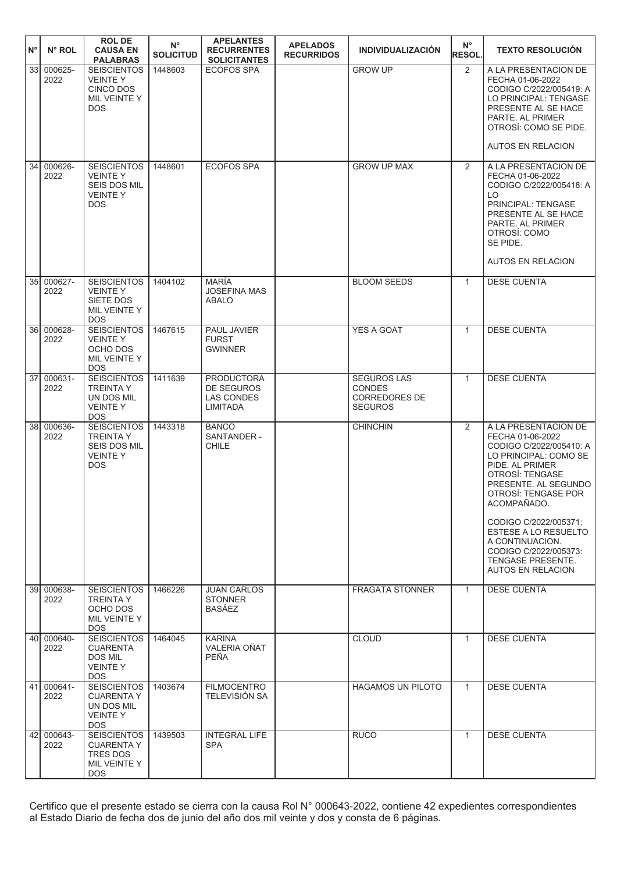| $N^{\circ}$ | N° ROL             | <b>ROLDE</b><br><b>CAUSA EN</b>                                                                           | $N^{\circ}$<br><b>SOLICITUD</b> | <b>APELANTES</b><br><b>RECURRENTES</b>                    | <b>APELADOS</b><br><b>RECURRIDOS</b> | <b>INDIVIDUALIZACIÓN</b>                                               | $N^{\circ}$<br><b>RESOL.</b> | <b>TEXTO RESOLUCIÓN</b>                                                                                                                                                                                                                                                                                                                        |
|-------------|--------------------|-----------------------------------------------------------------------------------------------------------|---------------------------------|-----------------------------------------------------------|--------------------------------------|------------------------------------------------------------------------|------------------------------|------------------------------------------------------------------------------------------------------------------------------------------------------------------------------------------------------------------------------------------------------------------------------------------------------------------------------------------------|
|             | 33 000625-<br>2022 | <b>PALABRAS</b><br><b>SEISCIENTOS</b><br><b>VEINTEY</b><br><b>CINCO DOS</b><br>MIL VEINTE Y<br><b>DOS</b> | 1448603                         | <b>SOLICITANTES</b><br><b>ECOFOS SPA</b>                  |                                      | <b>GROW UP</b>                                                         | 2                            | A LA PRESENTACION DE<br>FECHA 01-06-2022<br>CODIGO C/2022/005419: A<br>LO PRINCIPAL: TENGASE<br>PRESENTE AL SE HACE<br>PARTE. AL PRIMER<br>OTROSÍ: COMO SE PIDE.<br><b>AUTOS EN RELACION</b>                                                                                                                                                   |
|             | 34 000626-<br>2022 | <b>SEISCIENTOS</b><br><b>VEINTEY</b><br>SEIS DOS MIL<br><b>VEINTEY</b><br><b>DOS</b>                      | 1448601                         | <b>ECOFOS SPA</b>                                         |                                      | <b>GROW UP MAX</b>                                                     | $\overline{2}$               | A LA PRESENTACION DE<br>FECHA 01-06-2022<br>CODIGO C/2022/005418: A<br>LO<br>PRINCIPAL: TENGASE<br>PRESENTE AL SE HACE<br>PARTE. AL PRIMER<br>OTROSÍ: COMO<br>SE PIDE.<br><b>AUTOS EN RELACION</b>                                                                                                                                             |
|             | 35 000627-<br>2022 | <b>SEISCIENTOS</b><br><b>VEINTEY</b><br>SIETE DOS<br>MIL VEINTE Y<br><b>DOS</b>                           | 1404102                         | <b>MARÍA</b><br><b>JOSEFINA MAS</b><br><b>ABALO</b>       |                                      | <b>BLOOM SEEDS</b>                                                     | $\mathbf{1}$                 | <b>DESE CUENTA</b>                                                                                                                                                                                                                                                                                                                             |
|             | 36 000628-<br>2022 | <b>SEISCIENTOS</b><br><b>VEINTEY</b><br>OCHO DOS<br>MIL VEINTE Y<br><b>DOS</b>                            | 1467615                         | PAUL JAVIER<br><b>FURST</b><br><b>GWINNER</b>             |                                      | <b>YES A GOAT</b>                                                      | $\mathbf{1}$                 | <b>DESE CUENTA</b>                                                                                                                                                                                                                                                                                                                             |
|             | 37 000631-<br>2022 | <b>SEISCIENTOS</b><br><b>TREINTA Y</b><br>UN DOS MIL<br><b>VEINTEY</b><br><b>DOS</b>                      | 1411639                         | <b>PRODUCTORA</b><br>DE SEGUROS<br>LAS CONDES<br>LIMITADA |                                      | <b>SEGUROS LAS</b><br><b>CONDES</b><br>CORREDORES DE<br><b>SEGUROS</b> | $\mathbf{1}$                 | <b>DESE CUENTA</b>                                                                                                                                                                                                                                                                                                                             |
|             | 38 000636-<br>2022 | <b>SEISCIENTOS</b><br><b>TREINTA Y</b><br>SEIS DOS MIL<br><b>VEINTEY</b><br><b>DOS</b>                    | 1443318                         | <b>BANCO</b><br>SANTANDER -<br><b>CHILE</b>               |                                      | <b>CHINCHIN</b>                                                        | $\overline{2}$               | A LA PRESENTACION DE<br>FECHA 01-06-2022<br>CODIGO C/2022/005410: A<br>LO PRINCIPAL: COMO SE<br>PIDE. AL PRIMER<br>OTROSÍ: TENGASE<br>PRESENTE. AL SEGUNDO<br>OTROSÍ: TENGASE POR<br>ACOMPANADO.<br>CODIGO C/2022/005371:<br>ESTESE A LO RESUELTO<br>A CONTINUACION.<br>CODIGO C/2022/005373:<br>TENGASE PRESENTE.<br><b>AUTOS EN RELACION</b> |
|             | 39 000638-<br>2022 | <b>SEISCIENTOS</b><br><b>TREINTA Y</b><br>OCHO DOS<br>MIL VEINTE Y<br><b>DOS</b>                          | 1466226                         | <b>JUAN CARLOS</b><br><b>STONNER</b><br>BASÁEZ            |                                      | <b>FRAGATA STONNER</b>                                                 | $\mathbf{1}$                 | <b>DESE CUENTA</b>                                                                                                                                                                                                                                                                                                                             |
|             | 40 000640-<br>2022 | <b>SEISCIENTOS</b><br><b>CUARENTA</b><br><b>DOS MIL</b><br><b>VEINTEY</b><br><b>DOS</b>                   | 1464045                         | <b>KARINA</b><br>VALERIA OÑAT<br>PEÑA                     |                                      | <b>CLOUD</b>                                                           | $\mathbf{1}$                 | <b>DESE CUENTA</b>                                                                                                                                                                                                                                                                                                                             |
|             | 41 000641-<br>2022 | <b>SEISCIENTOS</b><br><b>CUARENTA Y</b><br>UN DOS MIL<br><b>VEINTEY</b><br><b>DOS</b>                     | 1403674                         | <b>FILMOCENTRO</b><br>TELEVISIÓN SA                       |                                      | <b>HAGAMOS UN PILOTO</b>                                               | $\mathbf{1}$                 | <b>DESE CUENTA</b>                                                                                                                                                                                                                                                                                                                             |
|             | 42 000643-<br>2022 | <b>SEISCIENTOS</b><br><b>CUARENTA Y</b><br><b>TRES DOS</b><br>MIL VEINTE Y<br><b>DOS</b>                  | 1439503                         | <b>INTEGRAL LIFE</b><br><b>SPA</b>                        |                                      | <b>RUCO</b>                                                            | $\mathbf{1}$                 | <b>DESE CUENTA</b>                                                                                                                                                                                                                                                                                                                             |

Certifico que el presente estado se cierra con la causa Rol N° 000643-2022, contiene 42 expedientes correspondientes al Estado Diario de fecha dos de junio del año dos mil veinte y dos y consta de 6 páginas.